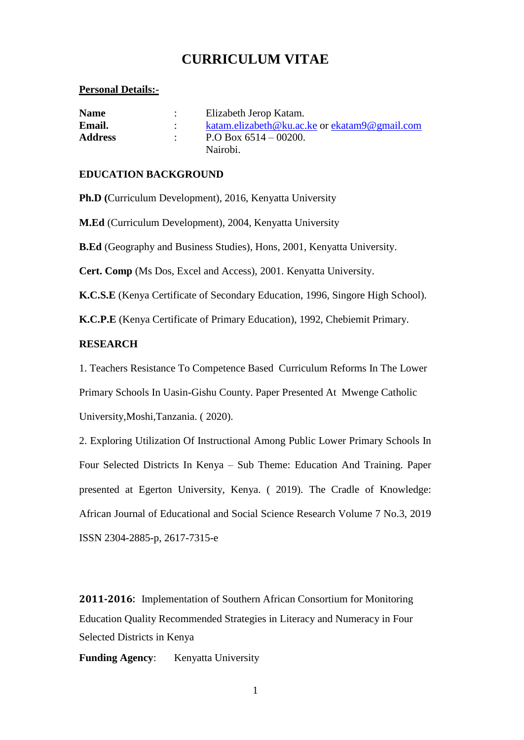# **CURRICULUM VITAE**

#### **Personal Details:-**

| <b>Name</b>    | Elizabeth Jerop Katam.                        |
|----------------|-----------------------------------------------|
| Email.         | katam.elizabeth@ku.ac.ke or ekatam9@gmail.com |
| <b>Address</b> | P.O Box $6514 - 00200$ .                      |
|                | Nairobi.                                      |

### **EDUCATION BACKGROUND**

**Ph.D (**Curriculum Development), 2016, Kenyatta University

**M.Ed** (Curriculum Development), 2004, Kenyatta University

**B.Ed** (Geography and Business Studies), Hons, 2001, Kenyatta University.

**Cert. Comp** (Ms Dos, Excel and Access), 2001. Kenyatta University.

**K.C.S.E** (Kenya Certificate of Secondary Education, 1996, Singore High School).

**K.C.P.E** (Kenya Certificate of Primary Education), 1992, Chebiemit Primary.

### **RESEARCH**

1. Teachers Resistance To Competence Based Curriculum Reforms In The Lower Primary Schools In Uasin-Gishu County. Paper Presented At Mwenge Catholic University,Moshi,Tanzania. ( 2020).

2. Exploring Utilization Of Instructional Among Public Lower Primary Schools In Four Selected Districts In Kenya – Sub Theme: Education And Training. Paper presented at Egerton University, Kenya. ( 2019). The Cradle of Knowledge: African Journal of Educational and Social Science Research Volume 7 No.3, 2019 ISSN 2304-2885-p, 2617-7315-e

**2011-2016**: Implementation of Southern African Consortium for Monitoring Education Quality Recommended Strategies in Literacy and Numeracy in Four Selected Districts in Kenya

**Funding Agency:** Kenyatta University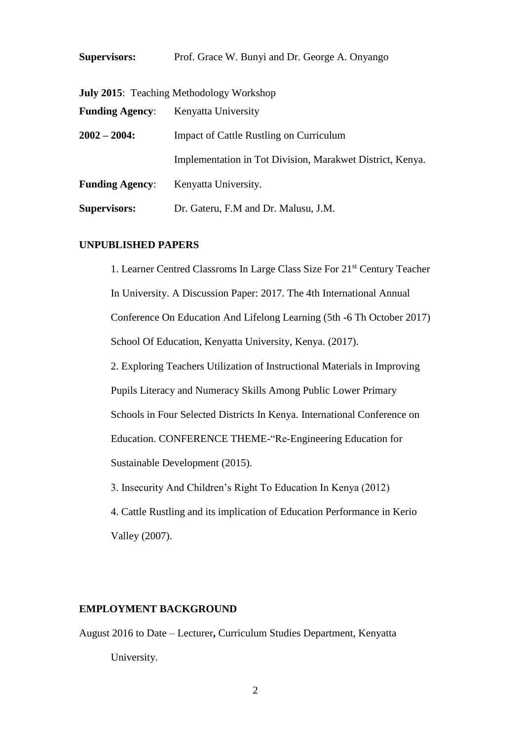**Supervisors:** Prof. Grace W. Bunyi and Dr. George A. Onyango

|                        | <b>July 2015:</b> Teaching Methodology Workshop           |  |
|------------------------|-----------------------------------------------------------|--|
| <b>Funding Agency:</b> | Kenyatta University                                       |  |
| $2002 - 2004$          | <b>Impact of Cattle Rustling on Curriculum</b>            |  |
|                        | Implementation in Tot Division, Marakwet District, Kenya. |  |
| <b>Funding Agency:</b> | Kenyatta University.                                      |  |
| <b>Supervisors:</b>    | Dr. Gateru, F.M and Dr. Malusu, J.M.                      |  |

#### **UNPUBLISHED PAPERS**

1. Learner Centred Classroms In Large Class Size For 21<sup>st</sup> Century Teacher In University. A Discussion Paper: 2017. The 4th International Annual Conference On Education And Lifelong Learning (5th -6 Th October 2017) School Of Education, Kenyatta University, Kenya. (2017). 2. Exploring Teachers Utilization of Instructional Materials in Improving Pupils Literacy and Numeracy Skills Among Public Lower Primary Schools in Four Selected Districts In Kenya. International Conference on Education. CONFERENCE THEME-"Re-Engineering Education for Sustainable Development (2015).

3. Insecurity And Children's Right To Education In Kenya (2012)

4. Cattle Rustling and its implication of Education Performance in Kerio Valley (2007).

### **EMPLOYMENT BACKGROUND**

August 2016 to Date – Lecturer**,** Curriculum Studies Department, Kenyatta

University.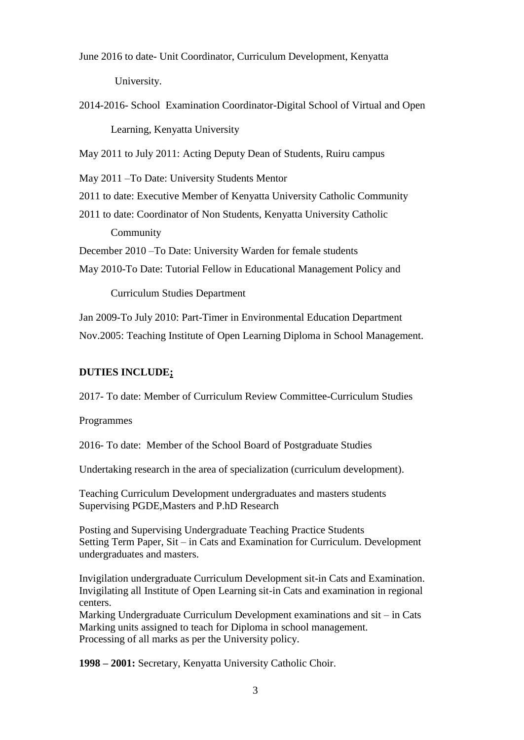June 2016 to date- Unit Coordinator, Curriculum Development, Kenyatta University.

2014-2016- School Examination Coordinator-Digital School of Virtual and Open Learning, Kenyatta University

May 2011 to July 2011: Acting Deputy Dean of Students, Ruiru campus

May 2011 –To Date: University Students Mentor

2011 to date: Executive Member of Kenyatta University Catholic Community

2011 to date: Coordinator of Non Students, Kenyatta University Catholic Community

December 2010 –To Date: University Warden for female students

May 2010-To Date: Tutorial Fellow in Educational Management Policy and

Curriculum Studies Department

Jan 2009-To July 2010: Part-Timer in Environmental Education Department Nov.2005: Teaching Institute of Open Learning Diploma in School Management.

# **DUTIES INCLUDE;**

2017- To date: Member of Curriculum Review Committee-Curriculum Studies

Programmes

2016- To date: Member of the School Board of Postgraduate Studies

Undertaking research in the area of specialization (curriculum development).

Teaching Curriculum Development undergraduates and masters students Supervising PGDE,Masters and P.hD Research

Posting and Supervising Undergraduate Teaching Practice Students Setting Term Paper, Sit – in Cats and Examination for Curriculum. Development undergraduates and masters.

Invigilation undergraduate Curriculum Development sit-in Cats and Examination. Invigilating all Institute of Open Learning sit-in Cats and examination in regional centers.

Marking Undergraduate Curriculum Development examinations and sit – in Cats Marking units assigned to teach for Diploma in school management. Processing of all marks as per the University policy.

**1998 – 2001:** Secretary, Kenyatta University Catholic Choir.